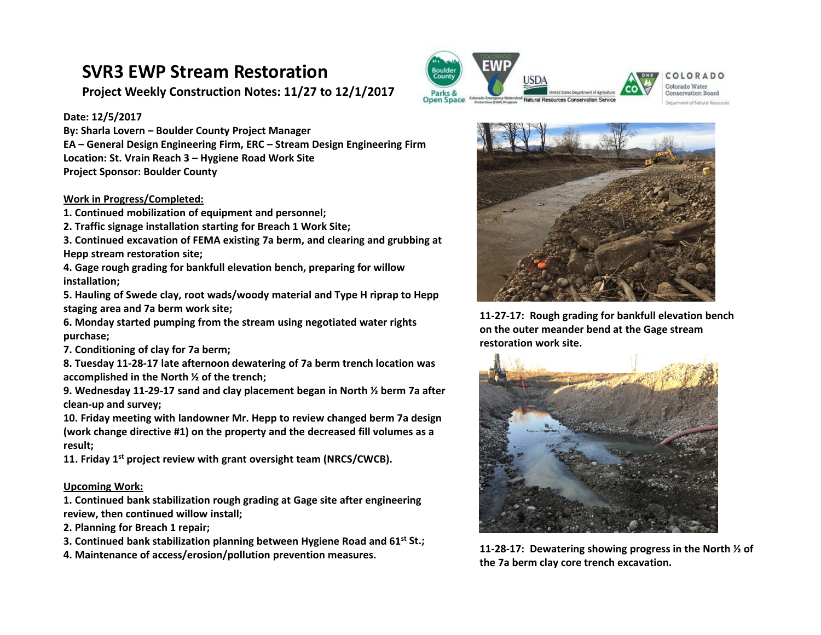# **SVR3 EWP Stream Restoration**

**Project Weekly Construction Notes: 11/27 to 12/1/2017**

### **Date: 12/5/2017**

**By: Sharla Lovern – Boulder County Project Manager EA – General Design Engineering Firm, ERC – Stream Design Engineering Firm Location: St. Vrain Reach 3 – Hygiene Road Work Site Project Sponsor: Boulder County** 

#### **Work in Progress/Completed:**

- **1. Continued mobilization of equipment and personnel;**
- **2. Traffic signage installation starting for Breach 1 Work Site;**
- **3. Continued excavation of FEMA existing 7a berm, and clearing and grubbing at Hepp stream restoration site;**
- **4. Gage rough grading for bankfull elevation bench, preparing for willow installation;**
- **5. Hauling of Swede clay, root wads/woody material and Type H riprap to Hepp staging area and 7a berm work site;**
- **6. Monday started pumping from the stream using negotiated water rights purchase;**
- **7. Conditioning of clay for 7a berm;**
- **8. Tuesday 11‐28‐17 late afternoon dewatering of 7a berm trench location was accomplished in the North ½ of the trench;**
- **9. Wednesday 11‐29‐17 sand and clay placement began in North ½ berm 7a after clean‐up and survey;**
- **10. Friday meeting with landowner Mr. Hepp to review changed berm 7a design (work change directive #1) on the property and the decreased fill volumes as a result;**
- **11. Friday 1st project review with grant oversight team (NRCS/CWCB).**

#### **Upcoming Work:**

- **1. Continued bank stabilization rough grading at Gage site after engineering review, then continued willow install;**
- **2. Planning for Breach 1 repair;**
- **3. Continued bank stabilization planning between Hygiene Road and 61st St.;**
- **4. Maintenance of access/erosion/pollution prevention measures.**





Colorado Water **Conservation Board** Department of Natural Bestuare



**11‐27‐17: Rough grading for bankfull elevation bench on the outer meander bend at the Gage stream**  restoration work site.



**11‐28‐17: Dewatering showing progress in the North ½ of the 7a berm clay core trench excavation.**